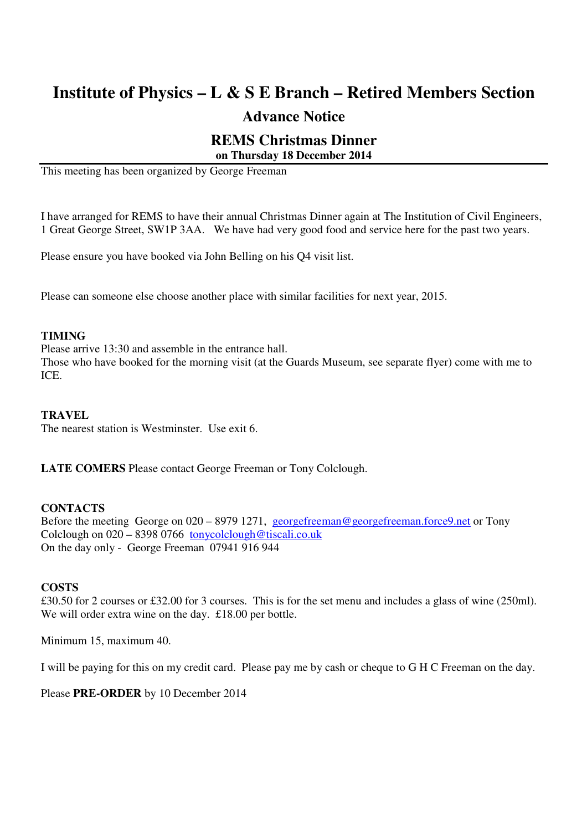# **Institute of Physics – L & S E Branch – Retired Members Section**

### **Advance Notice**

## **REMS Christmas Dinner**

#### **on Thursday 18 December 2014**

This meeting has been organized by George Freeman

I have arranged for REMS to have their annual Christmas Dinner again at The Institution of Civil Engineers, 1 Great George Street, SW1P 3AA. We have had very good food and service here for the past two years.

Please ensure you have booked via John Belling on his Q4 visit list.

Please can someone else choose another place with similar facilities for next year, 2015.

#### **TIMING**

Please arrive 13:30 and assemble in the entrance hall.

Those who have booked for the morning visit (at the Guards Museum, see separate flyer) come with me to ICE.

#### **TRAVEL**

The nearest station is Westminster. Use exit 6.

**LATE COMERS** Please contact George Freeman or Tony Colclough.

#### **CONTACTS**

Before the meeting George on 020 – 8979 1271, georgefreeman@georgefreeman.force9.net or Tony Colclough on 020 – 8398 0766 tonycolclough@tiscali.co.uk On the day only - George Freeman 07941 916 944

#### **COSTS**

£30.50 for 2 courses or £32.00 for 3 courses. This is for the set menu and includes a glass of wine (250ml). We will order extra wine on the day. £18.00 per bottle.

Minimum 15, maximum 40.

I will be paying for this on my credit card. Please pay me by cash or cheque to G H C Freeman on the day.

Please **PRE-ORDER** by 10 December 2014